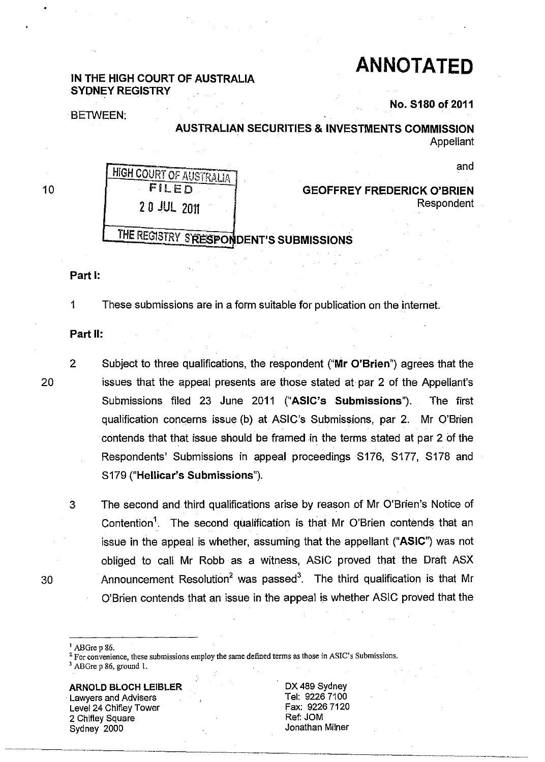# **ANNOTATED**

# IN THE HIGH COURT OF AUSTRALIA SYDNEY REGISTRY

**BETWEEN:** 

No. S180 of 2011

AUSTRALIAN SECURITIES & INVESTMENTS COMMISSION Appellant

and

10

20

HIGH COURT OF AUSTRALIA FilED 20 JUL 2011

GEOFFREY FREDERICK O'BRIEN Respondent

# THE REGISTRY S'RESPONDENT'S SUBMISSIONS

#### Part I:

1 These submissions are in a form suitable for publication on the internet.

#### Part II:

- 2 Subject to three qualifications, the respondent ("Mr O'Brien") agrees that the issues that the appeal presents are those stated at par 2 of the Appellant's Submissions filed 23 June 2011 ("ASIC's Submissions"). The first qualification concerns issue (b) at ASIC's Submissions, par 2. Mr O'Brien contends that that issue should be framed in the terms stated at par 2 of the Respondents' Submissions in appeal proceedings S176, S177, S178 and S179 ("Hellicar's Submissions").
- 3 The second and third qualifications arise by reason of Mr O'Brien's Notice of Contention<sup>1</sup>. The second qualification is that Mr O'Brien contends that an issue in the appeal is whether, assuming that the appellant ("ASIC") was not obliged to call Mr Robb as a witness, ASIC proved that the Draft ASX 30 Announcement Resolution<sup>2</sup> was passed<sup>3</sup>. The third qualification is that Mr O'Brien contends that an issue in the appeal is whether ASIC proved that the
	- ABGre p 86.

3 ABOre p 86, ground 1.

ARNOLD BLOCH lElBlER Lawyers and Advisers Level 24 Chifley Tower 2 Chifley Square Sydney 2000

DX 489 Sydney Tel: 92267100 Fax: 92267120 Ref: JOM Jonathan Milner

<sup>&</sup>lt;sup>2</sup> For convenience, these submissions employ the same defined terms as those in ASIC's Submissions.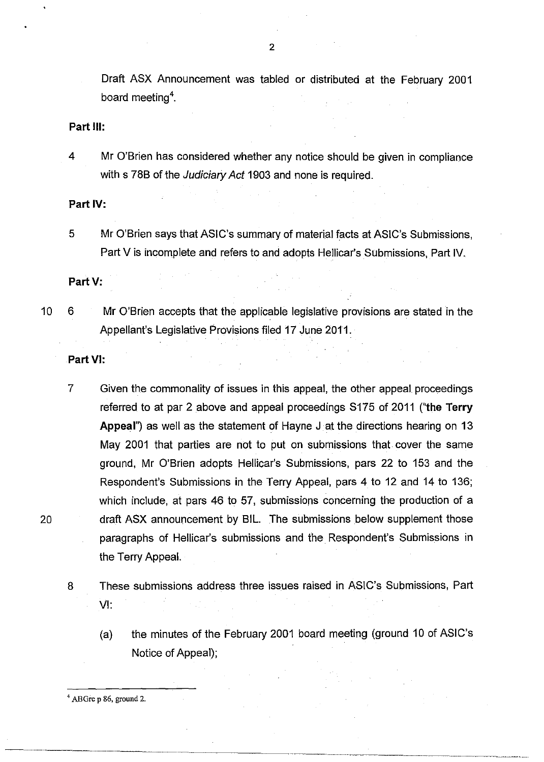Draft ASX Announcement was tabled or distributed at the February 2001 board meeting<sup>4</sup>.

#### **Part III:**

4 Mr O'Brien has considered whether any notice should be given in compliance with s 78B of the *Judiciary Act* 1903 and none is required.

**Part** IV:

5 Mr O'Brien says that ASIC's summary of material facts at ASIC's Submissions, Part V is incomplete and refers to and adopts Hellicar's Submissions, Part IV.

Part V:

10 6 Mr O'Brien accepts that the applicable legislative provisions are stated in the Appellant's Legislative Provisions filed 17 June 2011.

#### **Part VI:**

7 Given the commonality of issues in this appeal, the other appeal proceedings referred to at par 2 above and appeal proceedings S175 of 2011 ("the Terry Appeal") as well as the statement of Hayne J at the directions hearing on 13 May 2001 that parties are not to put on submissions that cover the same ground, Mr O'Brien adopts Hellicar's Submissions, pars 22 to 153 and the Respondent's Submissions in the Terry Appeal, pars 4 to 12 and 14 to 136; which include, at pars 46 to 57, submissions concerning the production of a 20 draft ASX announcement by SIL. The submissions below supplement those paragraphs of Hellicar's submissions and the Respondent's Submissions in the Terry Appeal.

8 These submissions address three issues raised in ASIC's Submissions, Part VI:

(a) the minutes of the February 2001 board meeting (ground 10 of ASIC's Notice of Appeal);

4 ABGre p 86, ground 2.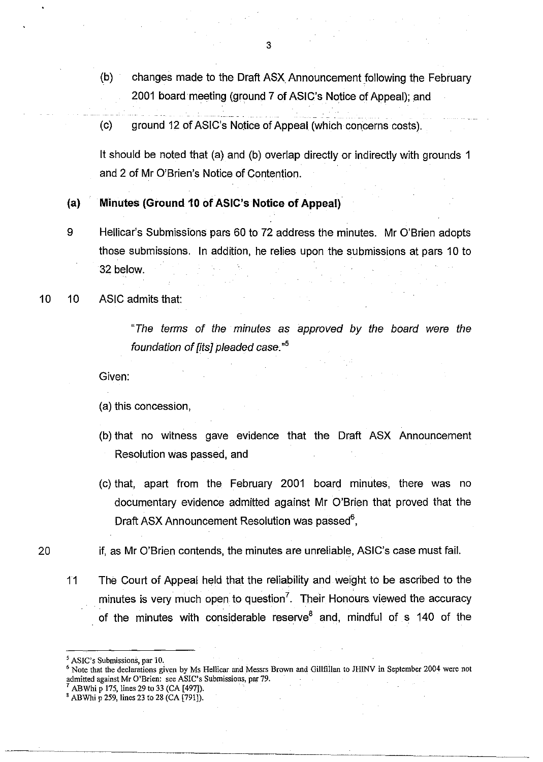- (b) changes made to the Draft ASX Announcement following the February 2001 board meeting (ground 7 of ASIC's Notice of Appeal); and
- (c) ground 12 of ASIC's Notice of Appeal (which concerns costs).

It should be noted that (a) and (b) overlap directly or indirectly with grounds 1 and 2 of Mr O'Brien's Notice of Contention.

# (a) Minutes (Ground 10 of ASIC's Notice of Appeal)

- 9 Hellicar's Submissions pars 60 to 72 address the minutes. Mr O'Brien adopts those submissions. In addition, he relies upon the submissions at pars 10 to 32 below.
- 10 10 ASIC admits that:

"The terms of the minutes as approved by the board were the foundation of [its] pleaded case."<sup>5</sup>

Given:

(a) this concession,

- (b) that no witness gave evidence that the Draft ASX Announcement Resolution was passed, and
- (c) that, apart from the February 2001 board minutes, there was no documentary evidence admitted against Mr O'Brien that proved that the Draft ASX Announcement Resolution was passed $^6$ ,

if, as Mr O'Brien contends, the minutes are unreliable, ASIC's case must fail.

11 The Court of Appeal held that the reliability and weight to be ascribed to the minutes is very much open to question<sup>7</sup>. Their Honours viewed the accuracy of the minutes with considerable reserve  $8$  and, mindful of s 140 of the

20

ABWhi p 175, lines 29 to 33 (CA [497]).

ASIC's Submissions, par 10.

<sup>6</sup> Note that the declarations given by Ms Hellicar and Messrs Brown and Gillfillan to JHlNV in September 2004 were not admitted against Mr O'Brien: see ASIC's Submissions, par 79.

<sup>8</sup> ABWhi p 259, lines 23 to 28 (CA [791]).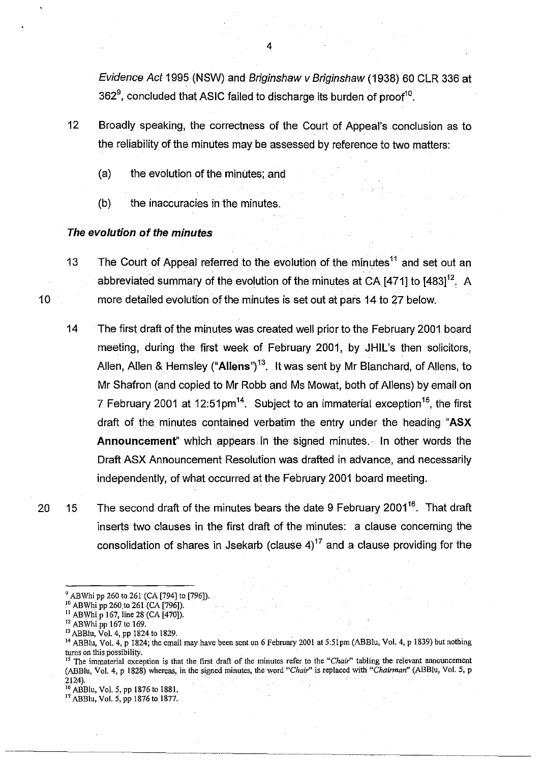Evidence Act 1995 (NSW) and Briginshaw v Briginshaw (1938) 60 CLR 336 at 362 $^9$ , concluded that ASIC failed to discharge its burden of proof $^{10}$ .

- 12 Broadly speaking, the correctness of the Court of Appeal's conclusion as to. the reliability of the minutes may be assessed by reference to two matters:
	- (a) the evolution of the minutes; and
	- (b) the inaccuracies in the minutes.

#### **The evolution of the minutes**

10

13 The Court of Appeal referred to the evolution of the minutes  $11$  and set out an abbreviated summary of the evolution of the minutes at CA  $[471]$  to  $[483]^{12}$ . A more detailed evolution of the minutes is set out at pars 14 to 27 below.

- 14 The first draft of the minutes was created well prior to the February 2001 board meeting, during the first week of February 2001, by JHIL's then solicitors, Allen, Allen & Hemsley ("Allens")<sup>13</sup>. It was sent by Mr Blanchard, of Allens, to. Mr Shafron (and copied to Mr Robb and Ms Mowat, both of Allens) by email on 7 February 2001 at 12:51 pm<sup>14</sup>. Subject to an immaterial exception  $15$ , the first draft of the minutes contained verbatim the entry under the heading "ASX **Announcement**" which appears in the signed minutes. In other words the Draft ASX Announcement Resolution was drafted in advance, and necessarily independently, of what occurred at the February 2001 board meeting.
- 20 15 The second draft of the minutes bears the date 9 February 2001<sup>16</sup>. That draft inserts two clauses in the first draft of the minutes: a clause concerning the consolidation of shares in Jsekarb (clause  $4$ )<sup>17</sup> and a clause providing for the

ABWhi pp 260 to 261 (CA [794] to [796]).

<sup>&</sup>lt;sup>10</sup> ABWhi pp 260 to 261 (CA [796]).

 $\rm^{11}$  ABWhi p 167, line 28 (CA [470]).

<sup>&</sup>lt;sup>12</sup> ABWhi pp 167 to 169.

<sup>&</sup>lt;sup>13</sup> ABBlu, Vol. 4, pp 1824 to 1829.

<sup>&</sup>lt;sup>14</sup> ABBlu, Vol. 4, p 1824; the email may have been sent on 6 February 2001 at 5:51pm (ABBlu, Vol. 4, p 1839) but nothing turns on this possibility.

<sup>&</sup>lt;sup>15</sup> The immaterial exception is that the first draft of the minutes refer to the "Chair" tabling the relevant announcement (ABBlu, VoL 4, P 1828) whereas, in the signed minutes, the word *"Chair'* is replaced with *"Chairman"* (ABBlu, VoL 5, p 2124).

<sup>16</sup> ABBlu, VoL 5, pp 1876 to 1881.

<sup>17</sup> ABBlu, VoL 5, pp 1876 to 1877.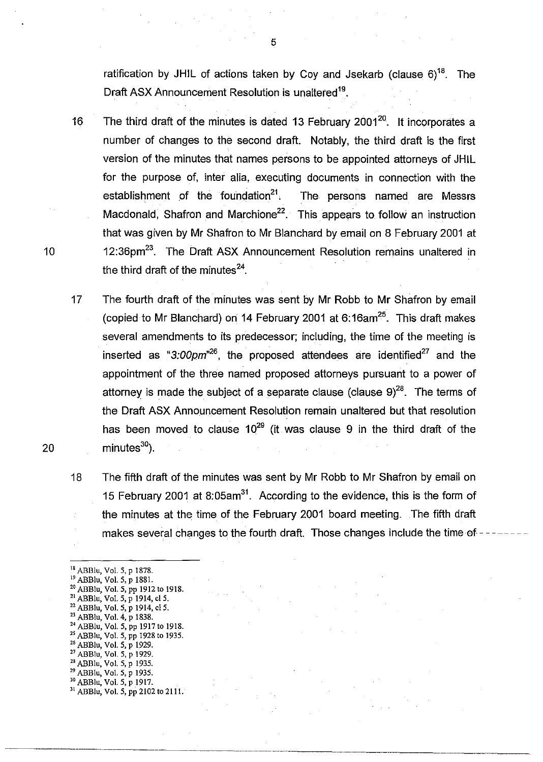ratification by JHIL of actions taken by Coy and Jsekarb (clause  $6)^{18}$ . The Draft ASX Announcement Resolution is unaltered<sup>19</sup>.

16 The third draft of the minutes is dated 13 February 2001<sup>20</sup>. It incorporates a number of changes to the second draft. Notably, the third draft is the first version of the minutes that names persons to be appointed attorneys of JHIL for the purpose of, inter alia, executing documents in connection with the establishment of the foundation<sup>21</sup>. The persons named are Messrs Macdonald, Shafron and Marchione<sup>22</sup>. This appears to follow an instruction that was given by Mr Shafron to Mr Blanchard by email on 8 February 2001 at 10 12:36pm<sup>23</sup>. The Draft ASX Announcement Resolution remains unaltered in the third draft of the minutes $^{24}$ .

17 The fourth draft of the minutes was sent by Mr Robb to Mr Shafron by email (copied to Mr Blanchard) on 14 February 2001 at 6:16am<sup>25</sup>. This draft makes several amendments to its predecessor; including, the time of the meeting is inserted as "3:00pm<sup>,26</sup>, the proposed attendees are identified<sup>27</sup> and the appointment of the three named proposed attorneys pursuant to a power of attorney is made the subject of a separate clause (clause  $9^{28}$ . The terms of the Draft ASX Announcement Resolution remain unaltered but that resolution has been moved to clause  $10^{29}$  (it was clause 9 in the third draft of the  $minutes<sup>30</sup>$ ).

18 The fifth draft of the minutes was sent by Mr Robb to Mr Shafron by email on 15 February 2001 at 8:05am<sup>31</sup>. According to the evidence, this is the form of the minutes at the time of the February 2001 board meeting. The fifth draft makes several changes to the fourth draft. Those changes include the time of

<sup>18</sup> ABBlu, Vol. 5, p 1878. <sup>19</sup> ABBlu, Vol. 5, p 1881. <sup>20</sup> ABBlu, Vol. 5, pp 1912 to 1918. <sup>21</sup> ABBlu, Vol. 5, p 1914, cl 5. <sup>22</sup> ABBlu, Vol. 5, p 1914, cl 5. <sup>23</sup> ABBlu, Vol. 4, p 1838. 24 ABBlu, Vol. 5, pp 1917 to 1918. 25 ABBlu, Vol. 5, pp 1928 to 1935. <sup>26</sup> ABBlu, Vol. 5, p 1929. <sup>27</sup> ABBlu, Vol. 5, p 1929. <sup>28</sup> ABBlu, Vol. 5, p 1935. <sup>29</sup> ABBlu, Vol. 5, p 1935. 30 ABBlu, Vol. 5, p 1917. 31 ABBlu, Vol. 5, pp *2102* to 2111.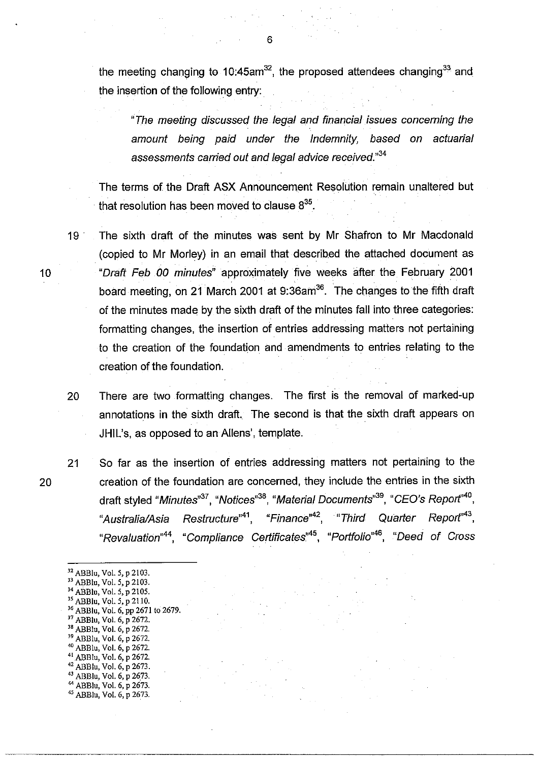the meeting changing to 10:45am<sup>32</sup>, the proposed attendees changing<sup>33</sup> and the insertion of the following entry:

"The meeting discussed the legal and financial issues concerning the amount being paid under the Indemnity, based on actuarial assessments carried out and legal advice received."<sup>34</sup>

The terms of the Draft ASX Announcement Resolution remain unaltered but that resolution has been moved to clause  $8^{35}$ .

19· The sixth draft of the minutes was sent by Mr Shafron to Mr Macdonald (copied to Mr Morley) in an email that described the attached document as 10 "Draft Feb 00 minutes" approximately five weeks after the February 2001 board meeting, on 21 March 2001 at 9:36am<sup>36</sup>. The changes to the fifth draft of the minutes made by the sixth draft of the minutes fall into three categories: formatting changes, the insertion of entries addressing matters not pertaining to the creation of the foundation and amendments to entries relating to the creation of the foundation.

20 There are two formatting changes. The first is the removal of marked-up annotations in the sixth draft. The second is that the sixth draft appears on JHIL's, as opposed to an Aliens', template.

21 So far as the insertion of entries addressing matters not pertaining to the creation of the foundation are concerned, they include the entries in the sixth draft styled "Minutes"<sup>37</sup>, "Notices"<sup>38</sup>, "Material Documents"<sup>39</sup>, "CEO's Report"<sup>40</sup>, "Australia/Asia Restructure"<sup>41</sup>, "Finance"<sup>42</sup>, "Third Quarter Report"<sup>43</sup>, "Revaluation"<sup>44</sup>, "Compliance Certificates"<sup>45</sup>, "Portfolio"<sup>46</sup>, "Deed of Cross

<sup>32</sup> ABBlu, Vol. 5, p 2103. <sup>33</sup> ABBlu, Vol. 5, p 2103. <sup>34</sup> ABBlu, Vol. 5, p 2105.  $\frac{35}{10}$  ABBlu, Vol. 5, p 2110. 36 ABBlu, Vol. 6, pp 2671 to 2679. <sup>37</sup> ABBlu, Vol. 6, p 2672. <sup>38</sup> ABBlu, Vol. 6, p 2672. <sup>39</sup> ABBlu, Vol. 6, p 2672. 40 ABBlu, Vol. 6, P 2672. 41 ABBlu, Vol. 6, p 2672. 42 ABBlu, Vol. 6, p 2673. 43 ABBlu, Vol. 6, p 2673. 44 ABBlu, Vol. 6, P 2673. 45 ABBlu, Vol. 6, P 2673.

6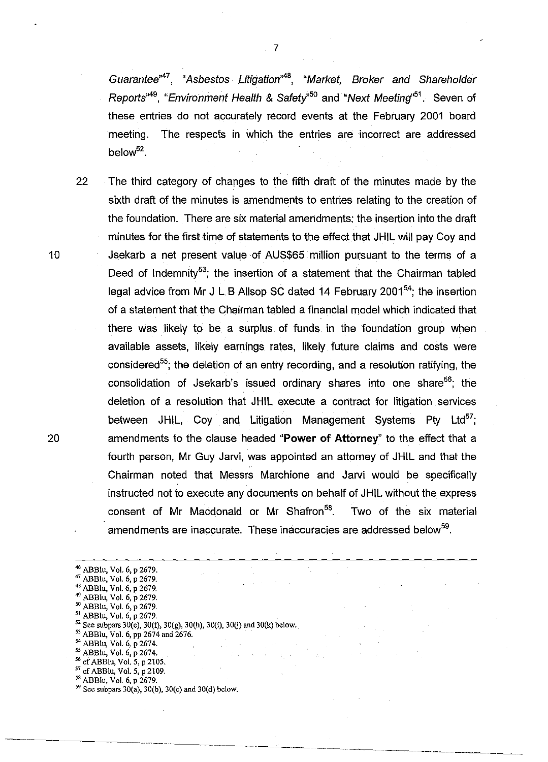Guarantee<sup>"47</sup>, "Asbestos Litigation<sup>"48</sup>, "Market, Broker and Shareholder Reports<sup>49</sup>, "Environment Health & Safety<sup>50</sup> and "Next Meeting<sup>151</sup>. Seven of these entries do not accurately record events at the February 2001 board meeting. The respects in which the entries are incorrect are addressed below<sup>52</sup>.

22 The third category of changes to the fifth draft of the minutes made by the sixth draft of the minutes is amendments to entries relating to the creation of the foundation. There are six material amendments: the insertion into the draft minutes for the first time of statements to the effect that JHIL will pay Coy and 10 **Jsekarb a net present value of AUS\$65 million pursuant to the terms of a** Deed of Indemnity<sup>53</sup>; the insertion of a statement that the Chairman tabled legal advice from Mr J L B Allsop SC dated 14 February 2001<sup>54</sup>; the insertion of a statement that the Chairman tabled a financial model which indicated that there was likely to be a surplus of funds in the foundation group when available assets, likely earnings rates, likely future claims and costs were considered<sup>55</sup>; the deletion of an entry recording, and a resolution ratifying, the consolidation of Jsekarb's issued ordinary shares into one share<sup>56</sup>; the deletion of a resolution that JHIL execute a contract for litigation services between JHIL, Coy and Litigation Management Systems Pty Ltd<sup>57</sup>; 20 amendments to the clause headed "Power **of** Attorney" to the effect that a fourth person, Mr Guy Jarvi, was appointed an attorney of JHIL and that the Chairman noted that Messrs Marchione and Jarvi would be specifically instructed not to execute any documents on behalf of JHIL without the express consent of Mr Macdonald or Mr Shafron<sup>58</sup>. Two of the six material amendments are inaccurate. These inaccuracies are addressed below<sup>59</sup>.

<sup>46</sup> ABBlu, Vol. 6, p 2679. <sup>41</sup>ABBlu, Vol. 6, P 2679. 48 ABBlu, Vol. 6, p 2679. <sup>49</sup>ABBlu, Vol. 6, p 2679. <sup>50</sup> ABBlu, Vol. 6, p 2679. <sup>51</sup> ABBlu, Vol. 6, p 2679. <sup>52</sup> See subpars 30(e), 30(f), 30(g), 30(h), 30(i), 30(j) and 30(k) below. 53 ABBlu, Vol. 6, pp 2674 and 2676. 54 ABBlu, Vol. 6, p 2674. <sup>55</sup> ABBlu, Vol. 6, p 2674.<br><sup>56</sup> cf ABBlu, Vol. 5, p 2105.

<sup>57</sup> cf ABBlu, Vol. 5, p 2109.

<sup>58</sup> ABBlu. Vol. 6. P 2679.

 $59$  See subpars 30(a), 30(b), 30(c) and 30(d) below.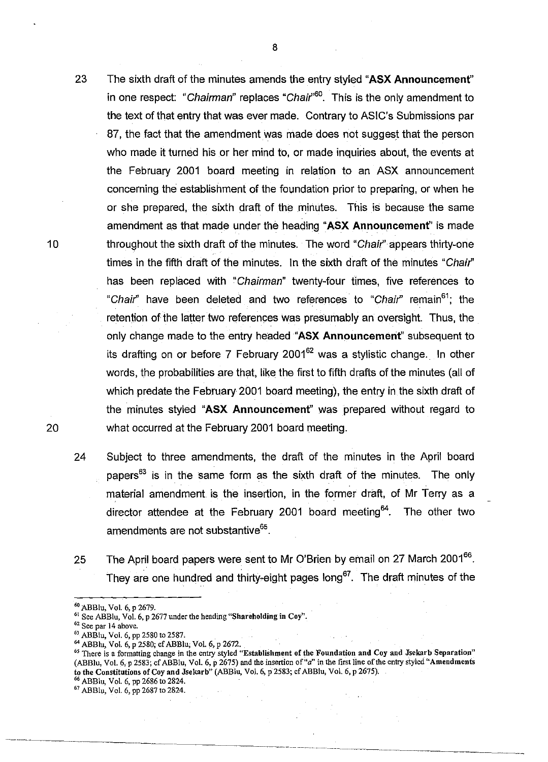- 23 The sixth draft of the minutes amends the entry styled "ASX Announcement" in one respect: "Chairman" replaces "Chair<sup>,60</sup>. This is the only amendment to the text of that entry that was ever made. Contrary to ASIC's Submissions par 87, the fact that the amendment was made does not suggest that the person who made it turned his or her mind to, or made inquiries about, the events at the February 2001 board meeting in relation to an ASX announcement concerning the establishment of the foundation prior to preparing, or when he or she prepared, the sixth draft of the minutes. This is because the same amendment as that made under the heading "ASX Announcemenf' is made throughout the sixth draft of the minutes. The word "Chair'appears thirty-one times in the fifth draft of the minutes. In the sixth draft of the minutes "Chair" has been replaced with "Chairman" twenty-four times, five references to "Chair" have been deleted and two references to "Chair" remain<sup>61</sup>; the retention of the latter two references was presumably an oversight. Thus, the only change made to the entry headed "ASX Announcement" subsequent to its drafting on or before 7 February 2001 $62$  was a stylistic change. In other words, the probabilities are that, like the first to fifth drafts of the minutes (all of which predate the February 2001 board meeting), the entry in the sixth draft of the minutes styled "ASX Announcement" was prepared without regard to
- 24 Subject to three amendments, the draft of the minutes in the April board papers $63$  is in the same form as the sixth draft of the minutes. The only material amendment is the insertion, in the former draft, of Mr Terry as a director attendee at the February 2001 board meeting<sup>64</sup>. The other two amendments are not substantive<sup>65</sup>.

what occurred at the February 2001 board meeting.

25 The April board papers were sent to Mr O'Brien by email on 27 March 2001<sup>66</sup>. They are one hundred and thirty-eight pages long<sup>67</sup>. The draft minutes of the

10

- <sup>66</sup> ABBlu, Vol. 6, pp 2686 to 2824.
- 67 ABBIll, Vol. 6, pp 2687 to 2824.

<sup>60</sup> ABBlu, Vol. 6, P 2679.

<sup>&</sup>lt;sup>61</sup> See ABBlu, Vol. 6, p 2677 under the heading "Shareholding in Coy".

<sup>62</sup> See par 14 above.

<sup>&</sup>lt;sup>63</sup> ABBlu, Vol. 6, pp 2580 to 2587.

<sup>64</sup> ABBlu, Vol. 6, p 2580; cf ABBlu; Vol. 6, p 2672.

<sup>&</sup>lt;sup>65</sup> There is a formatting change in the entry styled "Establishment of the Foundation and Coy and Jsekarb Separation" (ABBlu, Vol. 6, p 2583; cf ABBlu, Vol. 6, p 2675) and the insertion of "a" in the first line of the entry styled "Amendments" to the Constitutions of Coy and Jsekarb" (ABBlll, Vol. 6, p2583; cf ABBlu, Vol. 6, P 2675).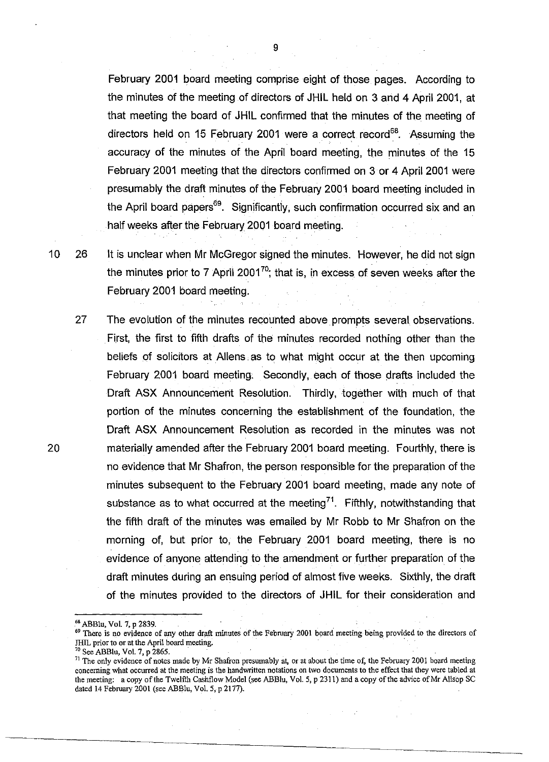February 2001 board meeting comprise eight of those pages. According to the minutes of the meeting of directors of JHIL held on 3 and 4 April 2001, at that meeting the board of JHIL confirmed that the minutes of the meeting of directors held on 15 February 2001 were a correct record<sup>68</sup>. Assuming the accuracy of the minutes of the April board meeting, the minutes of the 15 February 2001 meeting that the directors confirmed on 3 or 4 April 2001 were presumably the draft minutes of the February 2001 board meeting included in the April board papers<sup>69</sup>. Significantly, such confirmation occurred six and an half weeks after the February 2001 board meeting.

10 26 It is unclear when Mr McGregor signed the minutes. However, he did not sign the minutes prior to 7 April 2001<sup>70</sup>; that is, in excess of seven weeks after the February 2001 board meeting.

27 The evolution of the minutes recounted above prompts several. observations. First, the first to fifth drafts of the minutes recorded nothing other than the beliefs of solicitors at Aliens. as to what might occur at the then upcoming February 2001 board meeting; Secondly, each of those drafts included the Draft ASX Announcement Resolution. Thirdly, together with much of that portion of the minutes concerning the establishment of the foundation, the Draft ASX Announcement Resolution as recorded in the minutes was not 20 materially amended after the February 2001 board meeting. Fourthly, there is no evidence that Mr Shafron, the person responsible for the preparation of the minutes subsequent to the February 2001 board meeting, made any note of substance as to what occurred at the meeting<sup>71</sup>. Fifthly, notwithstanding that the fifth draft of the minutes was emailed by Mr Robb to Mr Shafron on the morning of, but prior to, the February 2001 board meeting, there is no evidence of anyone attending to the amendment or further preparation of the draft minutes during an ensuing period of almost five weeks. Sixthly, the draft of the minutes provided to the directors of JHIL for their consideration and

70 See ABBIll, Vol. 7, P 2865.

<sup>&</sup>lt;sup>68</sup> ABBlu, Vol. 7, p 2839.

<sup>&</sup>lt;sup>69</sup> There is no evidence of any other draft minutes of the February 2001 board meeting being provided to the directors of JHIL prior to or at the April board meeting.

 $71$  The only evidence of notes made by Mr Shafron presumably at, or at about the time of, the February 2001 board meeting concerning what occurred at the meeting is the handwritten notations on two documents to the effect that they were tabled at the meeting: a copy of the Twelfth Cashflow Model (see ABBlu, Vol. 5, p 2311) and a copy of the advice of Mr Allsop SC dated 14 February 2001 (see ABBlu, Vol. 5, p 2177).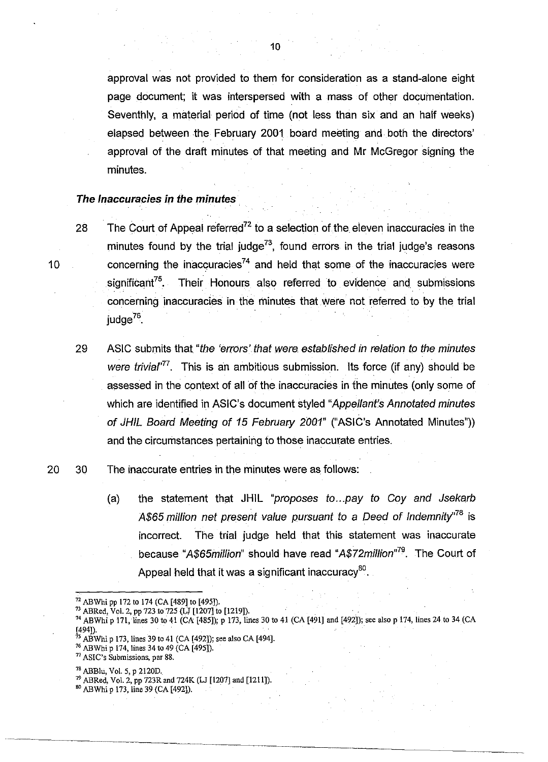approval was not provided to them for consideration as a stand-alone eight page document; it was interspersed with a mass of other documentation. Seventhly, a material period of time (not less than six and an half weeks) elapsed between the February 2001 board meeting and both the directors' approval of the draft minutes of that meeting and Mr McGregor signing the minutes.

# **The Inaccuracies in the minutes**

28 The Court of Appeal referred<sup>72</sup> to a selection of the eleven inaccuracies in the minutes found by the trial judge<sup>73</sup>, found errors in the trial judge's reasons 10 concerning the inaccuracies<sup>74</sup> and held that some of the inaccuracies were significant<sup>75</sup>. Their Honours also referred to evidence and submissions concerning inaccuracies in the minutes that were not referred to by the trial  $i$ udge<sup>76</sup>.

29 ASIC submits that "the 'errors'. that were. established in relation to the minutes were trivia<sup>r<sup>77</sup>. This is an ambitious submission. Its force (if any) should be</sup> assessed in the context of all of the inaccuracies in the minutes (only some of which are identified in ASIC's document styled "Appellant's Annotated minutes of JHIL Board Meeting of 15 February 2001" ("ASIC's Annotated Minutes")) and the circumstances pertaining to those inaccurate entries.

### 20 30 The inaccurate entries in the minutes were as follows:

(a) the statement that **JHIL** "proposes to ... pay to Coy and Jsekarb A\$65 million net present value pursuant to a Deed of Indemnity<sup> $n$ 8</sup> is incorrect. The trial judge held that this statement was inaccurate because "A\$65million" should have read "A\$72million"<sup>79</sup>. The Court of Appeal held that it was a significant inaccuracy $^{80}$ .

so ABWhi P 173, line 39 (CA [492]).

<sup>72</sup> ABWhi pp 172 to 174 (CA [489] to [495]).

 $^{73}$  ABRed, Vol. 2, pp 723 to 725 (LJ [1207] to [1219]).

<sup>&</sup>lt;sup>74</sup> ABWhi p 171, lines 30 to 41 (CA [485]); p 173, lines 30 to 41 (CA [491] and [492]); see also p 174, lines 24 to 34 (CA [494]).

<sup>&</sup>lt;sup>75</sup> ABWhi p 173, lines 39 to 41 (CA [492]); see also CA [494].

<sup>&</sup>lt;sup>76</sup> ABWhi p 174, lines 34 to 49 (CA [495]).

<sup>77</sup> ASIC's Submissions, par 88.

<sup>78</sup>ABBlu, Vol. 5, P 2120D.

<sup>79</sup> ABRed, Vol. 2, pp 723R and 724K (LJ [1207] and [1211]).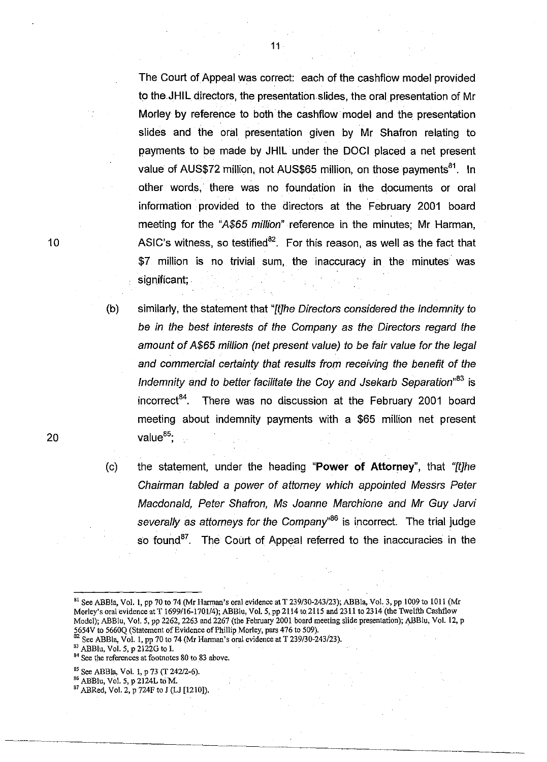The Court of Appeal was correct: each of the cashflow model provided to the JHIL directors, the presentation slides, the oral presentation of Mr Morley by reference to both the cashflow model and the presentation slides and the oral presentation given by Mr Shafron relating to payments to be made by JHIL under the DOCI placed a net present value of AUS\$72 million, not AUS\$65 million, on those payments<sup>81</sup>. In other words, there was no foundation in the documents or oral information provided to the directors at the February 2001 board meeting for the "A\$65 million" reference in the minutes; Mr Harman, ASIC's witness, so testified<sup>82</sup>. For this reason, as well as the fact that \$7 million is no trivial sum, the inaccuracy in the minutes was significant; .

(b) similarly, the statement that "[t]he Directors considered the Indemnity to be in the best interests of the Company as the Directors regard the amount of A\$65 million (net present value) to be fair value for the legal and commercial certainty that results from receiving the benefit of the Indemnity and to better facilitate the Coy and Jsekarb Separation<sup>,83</sup> is incorrect<sup>84</sup>. There was no discussion at the February 2001 board meeting about indemnity payments with a \$65 million net present value<sup>85</sup>;

(c) the statement, under the heading "Power of Attorney", that "[t]he Chairman tabled a power of attorney which appointed Messrs Peter Macdonald, Peter Shafron, Ms Joanne Marchione and Mr Guy Jarvi severally as attorneys for the Company<sup>86</sup> is incorrect. The trial judge so found<sup>87</sup>. The Court of Appeal referred to the inaccuracies in the

<sup>83</sup> ABBlu, Vol. 5, p 2122G to I.

10

<sup>&</sup>lt;sup>81</sup> See ABBla, Vol. 1, pp 70 to 74 (Mr Harman's oral evidence at T 239/30-243/23); ABBla, Vol. 3, pp 1009 to 1011 (Mr Morley's oral evidence at T 1699/16-1701/4); *ABBlu, Vol.* 5, pp 2114 to 2115 and 2311 to 2314 (the Twelfth Cashflow Model); ABBlu, Vol. 5, pp 2262, 2263 and 2267 (the February 2001 board meeting slide presentation); ABBlu, Vol. 12, p 5654V to 5660Q (Statement of Evidence of Phillip Morley, pars 476 to *509).* 

<sup>82</sup> See ABBla, Vol. I, pp 70 to 74 (Mr Harman's oral evidence at T *239/30-243123).* 

<sup>84</sup> See the references at footnotes 80 to 83 above.

<sup>85</sup> See ABBIa, Vol. I, P 73 (T *242/2-6).* 

<sup>86</sup> ABBlu, Vol. 5, p 2124L to M.

<sup>&</sup>lt;sup>87</sup> ABRed, Vol. 2, p 724F to J (LJ [1210]).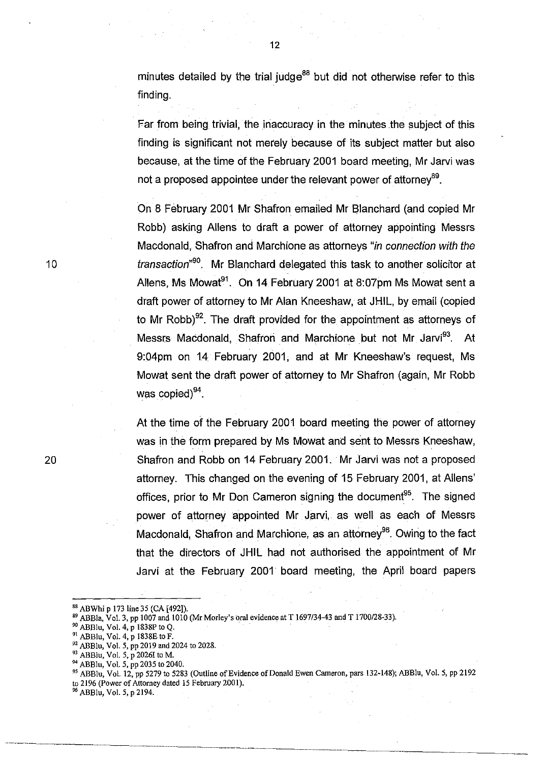minutes detailed by the trial judge<sup>88</sup> but did not otherwise refer to this finding.

Far from being trivial, the inaccuracy in the minutes the subject of this finding is significant not merely because of its subject matter but also because, at the time of the February 2001 board meeting, Mr Jarvi was not a proposed appointee under the relevant power of attorney<sup>89</sup>.

On 8 February 2001 Mr Shafron emailed Mr Blanchard (and copied Mr Robb) asking Aliens to draft a power of attorney appointing Messrs Macdonald, Shafron and Marchione as attorneys "in connection with the transaction<sup>,90</sup>. Mr Blanchard delegated this task to another solicitor at Allens, Ms Mowat<sup>91</sup>. On 14 February 2001 at 8:07pm Ms Mowat sent a draft power of attorney to Mr Alan Kneeshaw, at JHIL, by email (copied to Mr Robb)<sup>92</sup>. The draft provided for the appointment as attorneys of Messrs Macdonald, Shafron and Marchione but not Mr Jarvi<sup>93</sup>. At 9:04pm on 14 February 2001, and at Mr Kneeshaw's request, Ms Mowat sent the draft power of attorney to Mr Shafron (again, Mr Robb was copied) $94$ .

At the time of the February 2001 board meeting the power of attorney was in the form prepared by Ms Mowat and sent to Messrs Kneeshaw, Shafron and Robb on 14 February 2001. Mr Jarvi was not a proposed attorney. This changed on the evening of 15 February 2001, at Aliens' offices, prior to Mr Don Cameron signing the document<sup>95</sup>. The signed power of attorney appointed Mr Jarvi, as well as each of Messrs Macdonald, Shafron and Marchione, as an attorney<sup>96</sup>. Owing to the fact that the directors of JHIL had not authorised the appointment of Mr Jarvi at the February 2001· board meeting, the April board papers

88 ABWhi p 173 line 35 (CA [492]).

96 ABBlu, Vol. 5, p 2194.

10

S9 ABBla, Vol. 3, pp 1007 and 1010 (Mr Morley's oral evidence at T *1697/34-43* and T 1700/28-33).

<sup>&</sup>lt;sup>90</sup> ABBlu, Vol. 4, p 1838P to Q.

<sup>&</sup>lt;sup>91</sup> ABBlu, Vol. 4, p 1838E to F.

<sup>&</sup>lt;sup>92</sup> ABBlu, Vol. 5, pp 2019 and 2024 to 2028.

<sup>&</sup>lt;sup>93</sup> ABBlu, Vol. 5, p 2026I to M.

<sup>94</sup>ABBlu, Vol. 5, pp 2035 to 2040.

<sup>95</sup> ABBlu, Vol. 12, pp 5279 to 5283 (Outline of Evidence of Donald Ewen Cameron, pars 132-148); ABBlu, Vol. 5, pp 2192 to 2196 (Power of Attorney dated 15 February 2001).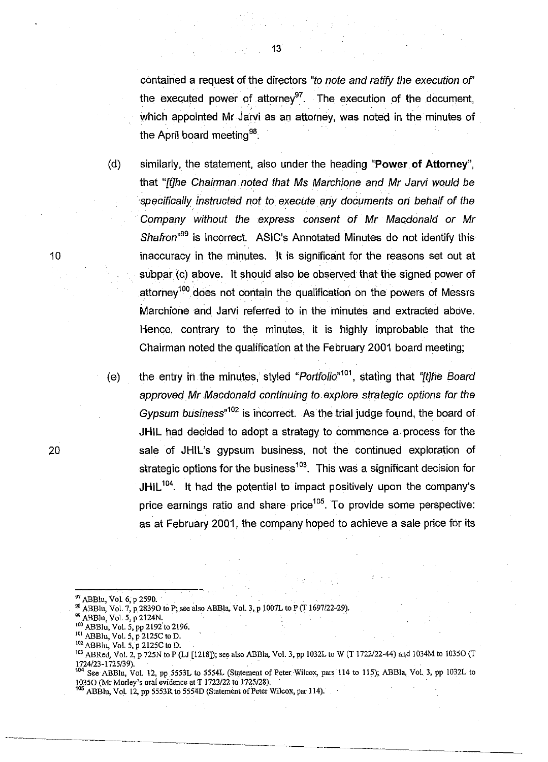contained a request of the directors "to note and ratify the execution of' the executed power of attorney<sup>97</sup>. The execution of the document, which appointed Mr Jarvi as an attorney, was noted in the minutes of the April board meeting<sup>98</sup>

(d) similarly, the statement, also under the heading "Power **of** Attorney", that "filhe Chairman noted that Ms Marchione and Mr Jarvi would be specifically instructed not to execute any documents on behalf of the Company without the express consent of Mr Macdonald or Mr Shafron<sup>,99</sup> is incorrect. ASIC's Annotated Minutes do not identify this inaccuracy in the minutes. It is significant for the reasons set out at subpar (c) above. It should also be observed that the signed power of attorney<sup>100</sup> does not contain the qualification on the powers of Messrs Marchione and Jarvi referred to in the minutes and extracted above. Hence, contrary to the minutes, it is highly improbable that the Chairman noted the qualification at the February 2001 board meeting;

(e) the entry in the minutes, styled "Portfolio"<sup>101</sup>, stating that "[t]he Board approved Mr Macdonald continuing to explore strategic options for the Gypsum business<sup> $n^{102}$ </sup> is incorrect. As the trial judge found, the board of JHIL had decided to adopt a strategy to commence a process for the sale of JHIL's gypsum business, not the continued exploration of strategic options for the business<sup>103</sup>. This was a significant decision for JHIL $104$ . It had the potential to impact positively upon the company's price earnings ratio and share price<sup>105</sup>. To provide some perspective: as at February 2001, the company hoped to achieve a sale price for its

10

<sup>&</sup>lt;sup>97</sup> ABBlu, Vol. 6, p 2590.

<sup>&</sup>lt;sup>98</sup> ABBlu, Vol. 7, p 28390 to P; see also ABBla, Vol. 3, p 1007L to P (T 1697/22-29).

 $^{99}$  ABBlu, Vol. 5, p 2124N.

ABBlu, Vol. 5, pp 2192 to 2196.

<sup>101</sup> ABBlu, VoL 5, p 2125C to D.

<sup>&</sup>lt;sup>102</sup> ABBlu, Vol. 5, p 2125C to D.

<sup>&</sup>lt;sup>103</sup> ABRed, Vol. 2, p 725N to P (LJ [1218]); see also ABBla, Vol. 3, pp 1032L to W (T 1722/22-44) and 1034M to 1035O (T 1724/23-1725/39).. . .

See ABBlu, Vol. 12, pp 5553L to 5554L (Statement of Peter Wilcox, pars 114 to 115); ABBla, Vol. 3, pp 1032L to 10350 (Mr Morley's oral evidence at T 1722122 to 1725/28),

<sup>&</sup>lt;sup>105</sup> ABBlu, Vol. 12, pp 5553R to 5554D (Statement of Peter Wilcox, par 114).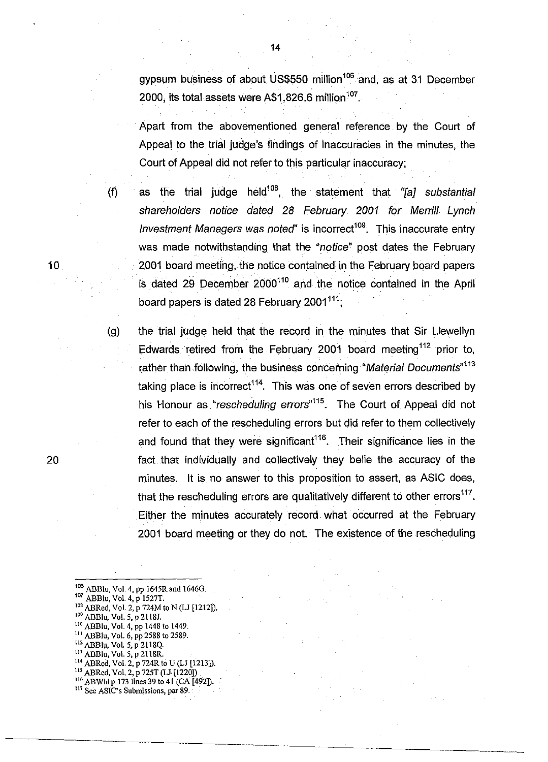gypsum business of about US\$550 million<sup>106</sup> and, as at 31 December 2000, its total assets were  $A$1,826.6$  million<sup>107</sup>.

. Apart from the abovementioned general reference by the Court of Appeal to the trial judge's findings of inaccuracies in the minutes, the Court of Appeal did not refer to this particular inaccuracy;

(f) as the trial judge held<sup>108</sup>, the statement that " $[aj]$  substantial shareholders notice dated 28 February *2001* for Merrill Lynch Investment Managers was noted" is incorrect<sup>109</sup>. This inaccurate entry was made notwithstanding that the "notice" post dates the February 2001 board meeting, the notice contained in the February board papers is dated 29 December 2000<sup>110</sup> and the notice contained in the April board papers is dated 28 February 2001 $^{111}$ ;

(g) the trial judge held that the record in the minutes that Sir Llewellyn Edwards retired from the February 2001 board meeting <sup>112</sup> prior to, rather than following, the business concerning "Material Documents"<sup>113</sup> taking place is incorrect<sup>114</sup>. This was one of seven errors described by his Honour as "rescheduling errors"<sup>115</sup>. The Court of Appeal did not refer to each of the rescheduling errors but did refer to them collectively and found that they were significant<sup>116</sup>. Their significance lies in the fact that individually and collectively they belie the accuracy of the minutes. It is no answer to this proposition to assert, as ASIC does, that the rescheduling errors are qualitatively different to other errors $117$ . Either the minutes accurately record. what occurred at the February 2001 board meeting or they do not. The existence of the rescheduling

 $10\degree$  ABBlu, Vol. 4, pp 1645R and 1646G. <sup>107</sup> ABBlu, Vol. 4, p 1527T. <sup>108</sup> ABRed, Vol. 2, p 724M to N (LJ [1212]). 109 ABBlu, Vol. 5, p 2118J. 110 ABBlu, Vol. 4, pp 1448 to 1449. 111 ABBlu, Vol. 6, pp 2588 to 2589. 112 ABBlu, Vol. 5, p 2118Q. 113 ABBlu, Vol. 5, P 2118R. 114 ABRed, Vol. 2, p 124R to U (LJ [1213]). 115 ABRed, Vol. 2, p 725T (Ll [1220])  $116$  ABWhi p 173 lines 39 to 41 (CA [492]). 117 See ASIC's Submissions, par 89.

14

20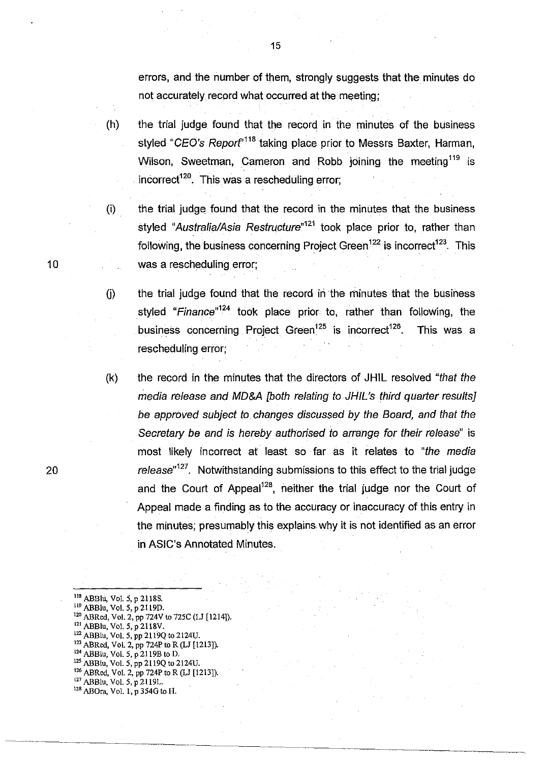errors, and the number of them, strongly suggests that the minutes do not accurately record what occurred at the meeting;

- $(h)$  the trial judge found that the record in the minutes of the business styled "CEO's Report<sup>118</sup> taking place prior to Messrs Baxter, Harman, Wilson, Sweetman, Cameron and Robb joining the meeting  $119$  is incorrect<sup>120</sup>. This was a rescheduling error;
- (i) the trial judge found that the record in the minUtes that the business styled "Australia/Asia Restructure"<sup>121</sup> took place prior to, rather than following, the business concerning Project Green<sup>122</sup> is incorrect<sup>123</sup>. This was a rescheduling error;
- $(i)$ the trial judge found that the record in the minutes that the business styled "Finance"<sup>124</sup> took place prior to, rather than following, the business concerning Project Green<sup>125</sup> is incorrect<sup>126</sup>. This was a rescheduling error;
- (k) the record in the minutes that the directors of **JHIL** resolved "that the media release and MO&A [both relating to JHIL's third quarter results] be approved subject to changes discussed by the Board, and that the Secretary be and is hereby authorised to arrange for their release" is most likely incorrect at least so far as it relates to "the media release<sup> $n_{127}$ </sup>. Notwithstanding submissions to this effect to the trial judge and the Court of Appeal<sup>128</sup>, neither the trial judge nor the Court of Appeal made a finding as to the accuracy or inaccuracy of this entry in the mjnutes; presumably this explains why it is not identified as an error in ASIC's Annotated Minutes.

<sup>118</sup> ABBlu, Vol. 5, p 2118S. <sup>119</sup> ABBlu, Vol. 5, p 2119D. 120 ABRed, Vol. 2, pp 724V to 725C (LJ [1214]).  $121$  ABBlu, Vol. 5, p 2118V. <sup>122</sup> ABBlu, Vol. 5, pp 2119Q to 2124U.  $123$  ABRed, Vol. 2, pp 724P to R (LJ [1213]). <sup>124</sup> ABBlu, Vol. 5, p 2119B to D. 125 ABBlu, Vol. 5, pp 2119Q to 2124U. <sup>126</sup> ABRed, Vol. 2, pp 724P to R (LJ [1213]).

- <sup>127</sup> ABBlu, Vol. 5, p 2119L.
- 128 ABOra, Vol. I, p 354G to H.

15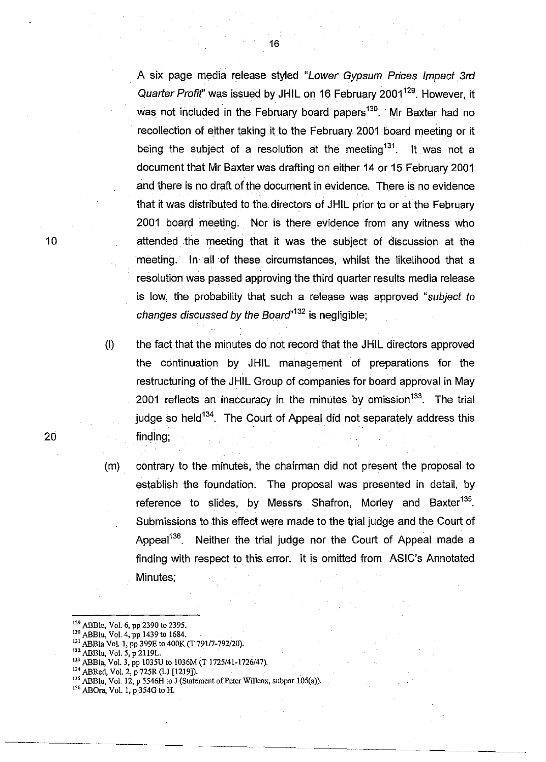A six page media release styled "Lower Gypsum Prices Impact 3rd Quarter Profit" was issued by JHIL on 16 February 2001<sup>129</sup>. However, it was not included in the February board papers<sup>130</sup>. Mr Baxter had no recollection of either taking it to the February 2001 board meeting or it being the subject of a resolution at the meeting  $131$ . It was not a document that Mr Baxter was drafting on either 14 or 15 February 2001 and there is no draft of the document in evidence. There is no evidence that it was distributed to the. directors of JHIL prior to or at the February 2001 board meeting. Nor is there evidence from any witness who attended the meeting that it was the subject of discussion at the meeting. In all of these circumstances, whilst the likelihood that a resolution was passed approving the third quarter results media release is low, the probability that such a release was approved "subject to changes discussed by the Board<sup> $n132$ </sup> is negligible;

- (I) the fact that the minutes do not record that the JHIL directors approved the continuation by JHIL management of preparations for the restructuring of the JHIL Group of companies for board approval in May 2001 reflects an inaccuracy in the minutes by omission<sup>133</sup>. The trial judge so held<sup>134</sup>. The Court of Appeal did not separately address this 20 finding;
	- (m) contrary to the minutes, the chairman did not present the proposal to establish the foundation. The proposal was presented in detail, by reference to slides, by Messrs Shafron, Morley and Baxter<sup>135</sup>. Submissions to this effect were made to the trial judge and the Court of Appeal<sup>136</sup>. Neither the trial judge nor the Court of Appeal made a finding with respect to this error. It is omitted from ASIC's Annotated Minutes;
	- 129 ABBlu, Vol. 6, pp 2390 to 2395.

- 134 ABRed, Vol. 2, p 725R (LJ [1219]).
- $135$  ABBlu, Vol. 12, p 5546H to J (Statement of Peter Willcox, subpar 105(a)).
- 136 ABOra, Vol. 1, p.354G to H.

<sup>130</sup> ABBlu, Vol. 4, pp 1439 to 1684.

<sup>&</sup>lt;sup>131</sup> ABBla Vol. 1, pp 399E to 400K (T 791/7-792/20).

<sup>&</sup>lt;sup>132</sup> ABBlu, Vol. 5, p 2119L.

<sup>133</sup> ABBla, Vol. 3, pp 1035U to !036M (T 1725/41-1726/47).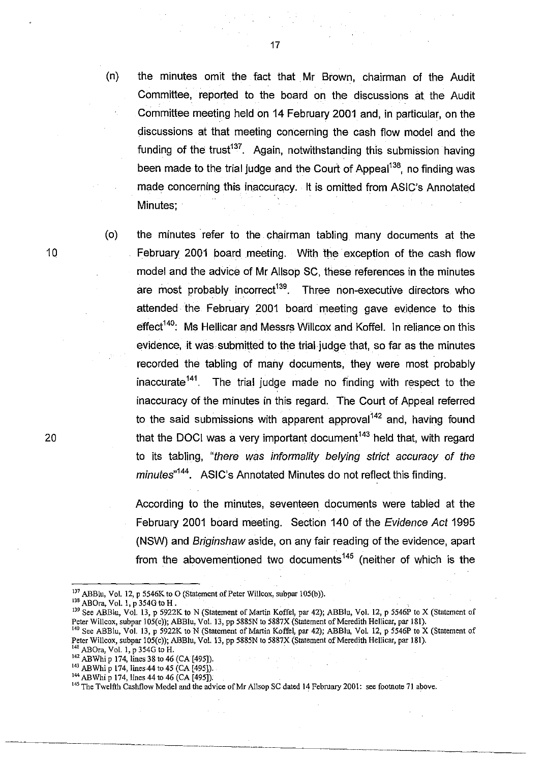(n) the minutes omit the fact that Mr Brown, chairman of the Audit Committee, reported to the board on the discussions at the Audit Committee meeting held on 14 February 2001 and, in particular, on the discussions at that meeting concerning the cash flow model and the funding of the trust<sup>137</sup>. Again, notwithstanding this submission having been made to the trial judge and the Court of Appeal<sup>138</sup>, no finding was made concerning this inaccuracy. It is omitted from ASIC's Annotated Minutes;

(0) the minutes refer to the chairman tabling many documents at the February 2001 board meeting. With the exception of the cash flow model and the advice of Mr Allsop SC, these references in the minutes are most probably incorrect<sup>139</sup>. Three non-executive directors who attended the February 2001 board meeting gave evidence to this effect<sup>140</sup>: Ms Hellicar and Messrs Willcox and Koffel. In reliance on this evidence, it was submitted to the trial judge that, so far as the minutes recorded the tabling of many documents, they were most probably inaccurate<sup>141</sup>. The trial judge made no finding with respect to the inaccuracy of the minutes in this regard. The Court of Appeal referred to the said submissions with apparent approval  $142$  and, having found that the DOCI was a very important document<sup>143</sup> held that, with regard to its tabling, "there was informality belying strict accuracy of the minutes<sup>"144</sup>. ASIC's Annotated Minutes do not reflect this finding.

According to the minutes, seventeen documents were tabled at the February 2001 board meeting. Section 140 of the Evidence Act 1995 (NSW) and Briginshawaside, on any fair reading of the evidence, apart from the abovementioned two documents<sup>145</sup> (neither of which is the

 $137$  ABBlu, Vol. 12, p 5546K to O (Statement of Peter Willcox, subpar 105(b)).

-----------.\_---\_.\_--------

138 ABOra, Vol. 1, p 354G to H.

10

<sup>&</sup>lt;sup>139</sup> See ABBlu, Vol. 13, p 5922K to N (Statement of Martin Koffel, par 42); ABBlu, Vol. 12, p 5546P to X (Statement of Peter Willcox, subpar 105(c)); ABBlu, Vol. 13, pp 5885N to 5887X (Statement of Meredith Hellicar, par 181).

<sup>&</sup>lt;sup>140</sup> See ABBlu, Vol. 13, p 5922K to N (Statement of Martin Koffel, par 42); ABBlu, Vol. 12, p 5546P to X (Statement of Peter Willcox, subpar 105(c)); ABBlu, Vol. 13, pp 5885N to 5887X (Statement of Meredith Hellicar, par 181).  $^{141}$  ABOra, Vol. 1, p 354G to H.

<sup>142</sup> ABWhi p 174, lines 38 to 46 (CA [495]).

<sup>&</sup>lt;sup>143</sup> ABWhi p 174, lines 44 to 45 (CA [495]).

<sup>&</sup>lt;sup>144</sup> ABWhi p 174, lines 44 to 46 (CA [495]).

<sup>&</sup>lt;sup>145</sup> The Twelfth Cashflow Model and the advice of Mr Allsop SC dated 14 February 2001: see footnote 71 above.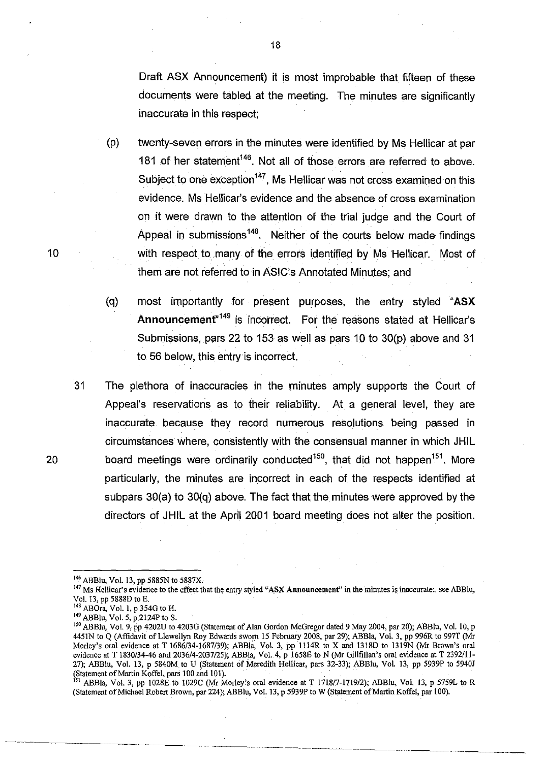Draft ASX Announcement) it is most improbable that fifteen of these documents were tabled at the meeting. The minutes are significantly inaccurate in this respect;

- (p) twenty-seven errors in the minutes were identified by Ms Hellicar at par 181 of her statement<sup>146</sup>. Not all of those errors are referred to above. Subject to one exception<sup>147</sup>. Ms Hellicar was not cross examined on this evidence. Ms Hellicar's evidence and the absence of cross examination on it were drawn to the attention of the trial judge and the Court of Appeal in submissions<sup>148</sup>. Neither of the courts below made findings with respect to many of the errors identified by Ms Hellicar. Most of them are not referred to in ASIC's Annotated Minutes; and
- (q) most importantly for present purposes, the entry styled "ASX Announcement<sup>"149</sup> is incorrect. For the reasons stated at Hellicar's Submissions, pars 22 to 153 as well as pars 10 to 30(p) above and 31 to 56 below, this entry is incorrect.
- 31 The plethora of inaccuracies in the minutes amply supports the Court of Appeal's reservations as to their reliability. At a general level, they are inaccurate because they record numerous resolutions being passed in circumstances where, consistently with the consensual manner in which JHIL 20 board meetings were ordinarily conducted<sup>150</sup>, that did not happen<sup>151</sup>. More particularly, the minutes are incorrect in each of the respects identified at subpars 30(a) to 30(q) above. The fact that the minutes were approved by the directors of JHIL at the April 2001 board meeting does not alter the position.
	- <sup>146</sup> ABBlu, Vol. 13, pp 5885N to 5887X.
	- 147 Ms Hellicar's evidence to the effect that the entry styled "ASX **Announcement"** in the minutes is inaccurate:. see ABBlu, Vol. 13, pp 5888D to E.
	- ABOra, Vol. 1, p 354G to H.
	- <sup>149</sup> ABBlu, Vol. 5, p 2124P to S.

<sup>&</sup>lt;sup>150</sup> ABBlu, Vol. 9, pp 4202U to 4203G (Statement of Alan Gordon McGregor dated 9 May 2004, par 20); ABBlu, Vol. 10, p 4451N to Q (Affidavit of Llewellyn Roy Edwards sworn 15 February 2008, par 29); ABBla, Vol. 3, pp 996R to 997T (Mr Morley's oral evidence at T 1686/34-1687/39); ABBla, Vol. 3, pp 1114R to X and 1318D to 1319N (Mr Brown's oral evidence at T 1830/34-46 and 2036/4-2037/25); ABBla, Vol. 4, p 1658E to N (Mr Gillfillan's oral evidence at T 2392/11-27); ABBlu, Vol. 13, p 5840M to U (Statement of Meredith Hellicar, pars 32-33); ABBlu, Vol. 13, pp 5939P to 5940J (Statement of Martin Koffel, pars 100 and 101). .

<sup>&</sup>lt;sup>151</sup> ABBla, Vol. 3, pp 1028E to 1029C (Mr Morley's oral evidence at T 1718/7-1719/2); ABBlu, Vol. 13, p 5759L to R (Statement of Michael Robert Brown, par 224); ABBlu, Vol. 13, P 5939P to W (Statement of Martin Koffel, par 100).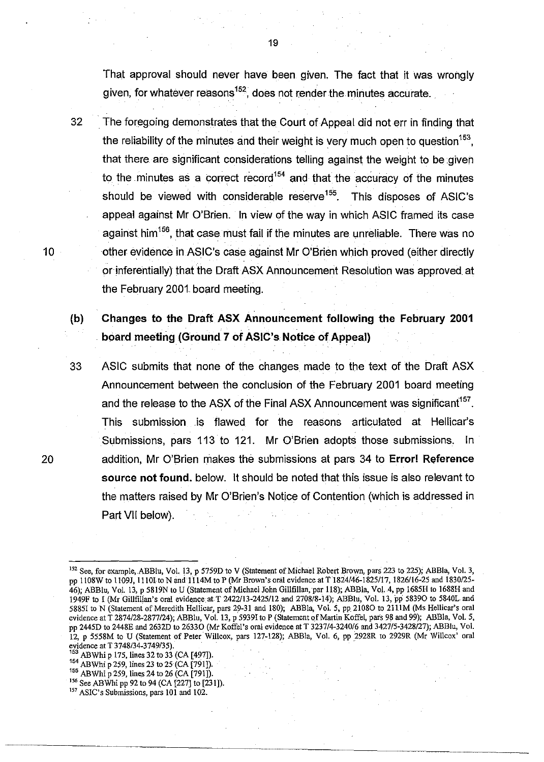That approval should never have been given. The fact that it was wrongly given, for whatever reasons $152$ , does not render the minutes accurate.

32 The foregoing demonstrates that the Court of Appeal did not err in finding that the reliability of the minutes and their weight is very much open to question  $153$ . that there are significant considerations telling against the weight to be given to the minutes as a correct record<sup>154</sup> and that the accuracy of the minutes should be viewed with considerable reserve<sup>155</sup>. This disposes of ASIC's appeal against Mr O'Brien. In view of the way in which ASIC framed its case against him  $156$ , that case must fail if the minutes are unreliable. There was no other evidence in ASIC's case against Mr O'Brien which proved (either directly or inferentially) that the Draft ASX Announcement Resolution was approved at the February 2001 board meeting.

(b) Changes to the Draft ASX Announcement following the February 2001 . board meeting (Ground 7 of ASIC's Notice of Appeal)

33 ASIC submits that none of the changes made to the text of the Draft ASX Announcement between the conclusion of the February 2001 board meeting and the release to the ASX of the Final ASX Announcement was significant<sup>157</sup>. This submission .is flawed for the reasons articulated at Hellicar's Submissions, pars 113 to 121. Mr O'Brien adopts those submissions. In addition, Mr O'Brien makes the submissions at pars 34 to Error! Reference source not found. below. It should be noted that this issue is also relevant to the matters raised by Mr O'Brien's Notice of Contention (which is addressed in Part VII below).

ABWhi p 175, lines 32 to 33 (CA [497]).

10

- 154 AB Whi p 259, lines 23 to 25 (CA [791]).
- <sup>155</sup> ABWhi p 259, lines 24 to 26 (CA [791]).
- 156 See ABWhi pp 92 to 94 (CA [227] to [231]).
- <sup>157</sup> ASIC's Submissions, pars 101 and 102.

<sup>&</sup>lt;sup>152</sup> See, for example, ABBlu, Vol. 13, p 5759D to V (Statement of Michael Robert Brown, pars 223 to 225); ABBla, Vol. 3, pp 1l08W to 1109J, 11101to N and 1114M to P (Mr Brown's oral evidence at T 1824146-1825117, 1826116-25 and 1830125- 46); ABBlu, Vol. 13, p 5819N to U (Statement of Michael John Gillfillan, par 118); ABBla, Vol. 4, pp 1685H to 1688H and 1949F to I (Mr Gillfillan's oral evidence at T 2422/13-2425/12 and 2708/8-14); ABBIu, Vol. 13, pp 58390 to 5840L and 58851 to N (Statement of Meredith Hellicar, pars 29-31 and 180); ABBla, Vol. 5, pp 2108O to 2111M (Ms Hellicar's oral evidence at T 2874128-2877124); ABBIu, Vol. 13, p 59391 to P (Statement of Martin Koffel, pars 98 and 99); ABEla, Vol. 5, pp 2445D to 2448E and 2632D to 26330 (Mr Koffel's oral evidence at T 323714-324016 and 342715-3428127); ABBlu, Vol. 12, p 5558M to U (Statement of Peter Willcox, pars 127-128); ABBla, Vol. 6, pp 2928R to 2929R (Mr Willcox' oral evidence at T 3748/34-3749/35).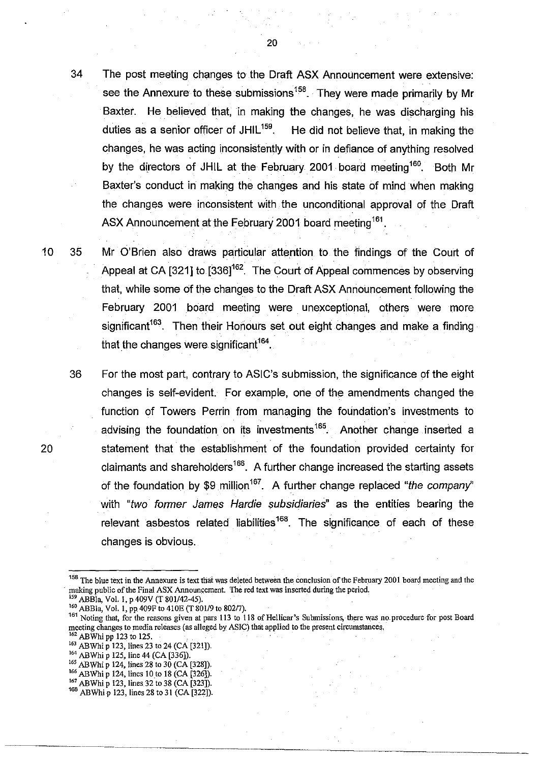34 The post meeting changes to the Draft ASX Announcement were extensive: see the Annexure to these submissions<sup>158</sup>. They were made primarily by Mr Baxter. He believed that, in making the changes, he was discharging his duties as a senior officer of  $JHIL^{159}$ . He did not believe that, in making the changes, he was acting inconsistently with or in defiance of anything resolved by the directors of JHIL at the February 2001 board meeting <sup>160</sup>. Both Mr Baxter's conduct in making the changes and his state of mind when making the changes were inconsistent with the unconditional approval of the Draft ASX Announcement at the February 2001 board meeting<sup>161</sup>.

10 35 Mr O'Brien also draws particular attention to the findings of the Court of Appeal at CA [321] to [336]<sup>162</sup>. The Court of Appeal commences by observing that, while some of the changes to the Draft ASX Announcement following the February 2001 board meeting were unexceptional, others were more significant<sup>163</sup>. Then their Honours set out eight changes and make a finding that the changes were significant<sup>164</sup>.

36 For the most part, contrary to ASIC's submission, the significance of the eight changes is self-evident. For example, one of the amendments changed the function of Towers Perrin from managing the foundation's investments to advising the foundation on its investments<sup>165</sup>. Another change inserted a statement that the establishment of the foundation provided certainty for claimants and shareholders<sup>166</sup>. A further change increased the starting assets of the foundation by \$9 million<sup>167</sup>. A further change replaced "the company" with "two former James Hardie subsidiaries" as the entities bearing the relevant asbestos related liabilities<sup>168</sup>. The significance of each of these changes is obvious.

<sup>2</sup> ABBla, Vol. 1, p.409V (T 801/42-45).

<sup>164</sup> ABWhi p 125, line 44 (CA [336]).

- $165$  ABWhi p 124, lines 28 to 30 (CA [328]).
- $166$  ABWhi p 124, lines 10 to 18 (CA [326]).
- $^{167}$  ABWhi p 123, lines 32 to 38 (CA [323]). <sup>168</sup> ABWhi p 123, lines 28 to 31 (CA [322]).

<sup>&</sup>lt;sup>158</sup> The blue text in the Annexure is text that was deleted between the conclusion of the February 2001 board meeting and the making public of the Final ASX Announcement. The red text was inserted during the period.

<sup>&</sup>lt;sup>160</sup> ABBla, Vol. 1, pp 409F to 410E (T 801/9 to 802/7).

<sup>&</sup>lt;sup>161</sup> Noting that, for the reasons given at pars 113 to 118 of Hellicar's Submissions, there was no procedure for post Board **meeting changes to media releases (as alleged by ASIC) that applied to the present circumstances.** 

<sup>&</sup>lt;sup>162</sup> ABWhi pp 123 to 125.

<sup>&</sup>lt;sup>163</sup> ABWhi p 123, lines 23 to 24 (CA [321]).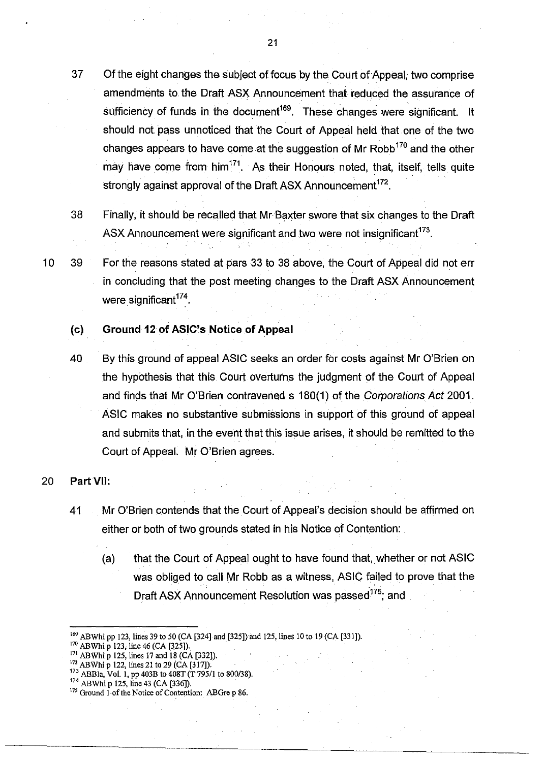- 37 Of the eight changes the subject of focus by the Court of Appeal, two comprise amendments to. the Draft ASX Announcement that reduced the assurance of sufficiency of funds in the document<sup>169</sup>. These changes were significant. It should not pass unnoticed that the Court of Appeal held that one of the two changes appears to have come at the suggestion of Mr Robb<sup>170</sup> and the other may have come from  $\text{him}^{171}$ . As their Honours noted, that, itself, tells quite strongly against approval of the Draft ASX Announcement<sup>172</sup>.
- 38 Finally, it should be recalled that MrBaxter swore that six changes to the Draft ASX Announcement were significant and two were not insignificant  $173$ .
- 10 39 For the reasons stated at pars 33 to 38 above, the Court of Appeal did not err in concluding that the post meeting changes to the Draft ASX Announcement were significant $174$ .

# **(cl Ground 120f ASIC's Notice of Appeal**

40 By this ground of appeal ASIC seeks an order for costs against Mr O'Brien on the hypothesis that this Court overturns the judgment of the Court of Appeal and finds that Mr O'Brien contravened s 180(1) of the Corporations Act 2001. ASIC makes no substantive submissions in support of this ground of appeal and submits that, in the event that this issue arises, it should be remitted to the Court of Appeal. Mr O'Brien agrees.

# 20 Part VII:

- 41 Mr O'Brien contends that the Court of Appeal's decision should be affirmed on either or both of two grounds stated in his Notice of Contention:
	- (a) that the Court of Appeal ought to have found that, whether or not ASIC was obliged to call Mr Robb as a witness, ASIC failed to prove that the Draft ASX Announcement Resolution was passed<sup>175</sup>; and

<sup>169</sup> ABWhi pp 123, lines 39 to 50 (CA [324] and [325]) and 125, lines 10 to 19 (CA [331]).

<sup>&</sup>lt;sup>170</sup> ABWhi p 123, line 46 (CA [325]).

<sup>&</sup>lt;sup>171</sup> ABWhi p 125, lines 17 and 18 (CA [332]).

 $172$  ABWhi p 122, lines 21 to 29 (CA [317]).

<sup>173</sup> ABBla, Vol. I, pp 403B to *408T* (T *795/1* to 800/38).

 $^{174}$  ABWhi p 125, line 43 (CA [336]).

**<sup>175</sup> Ground** I-of the **Notice** of Contention: **ABOre p 86.**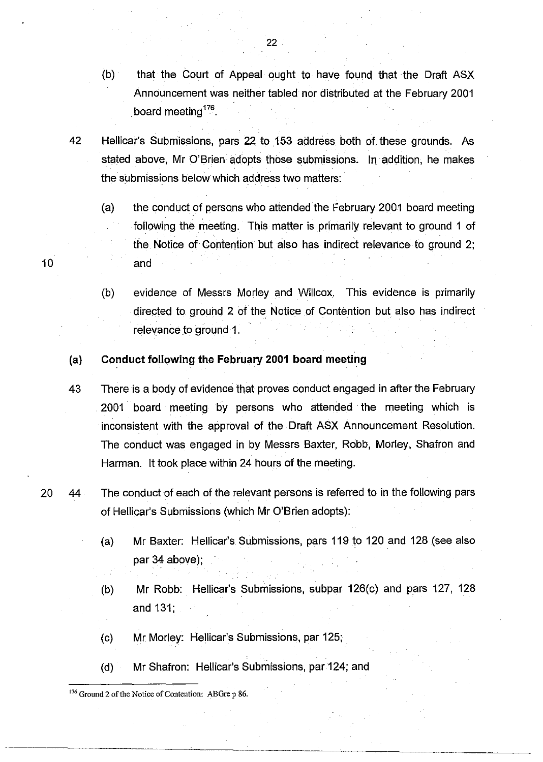- (b) that the Court of Appeal ought to have found that the Draft ASX Announcement was neither tabled nor distributed at the February 2001 board meeting<sup>176</sup>.
- 42 Hellicar's Submissions, pars 22 to 153 address both of these grounds. As stated above, Mr O'Brien adopts those submissions. In addition, he makes the submissions below which address two matters:
	- (a) the conduct of persons who attended the February 2001 board meeting following the meeting. This matter is primarily relevant to ground 1 of the Notice of Contention but also has indirect relevance to ground 2; and
	- (b) evidence of Messrs Morley and Willcox. This evidence is primarily directed to ground 2 of the Notice of Contention but also has indirect relevance to ground 1.

# (a) Conduct following the February 2001 board meeting

- 43 There is a body of evidence that proves conduct engaged in after the February 2001 board meeting by persons who attended the meeting which is inconsistent with the approval of the Draft ASX Announcement Resolution. The conduct was engaged in by Messrs Baxter, Robb, Morley, Shafron and Harman. It took place within 24 hours of the meeting.
- 20 44 The conduct of each of the relevant persons is referred to in the following pars of Hellicar's Submissions (which Mr O'Brien adopts):
	- (a) Mr Baxter: Hellicar's Submissions, pars 119 to 120 and 128 (see also par 34 above);
	- (b) Mr Robb: Hellicar's Submissions, subpar 126(c) and pars 127, 128 and 131;
	- (c) Mr Morley: Hellicar's Submissions, par 125;
	- (d) Mr Shafron: Hellicar's Submissions, par 124; and

l76 Ground 2 of the Notice of Contention: ABGre p 86.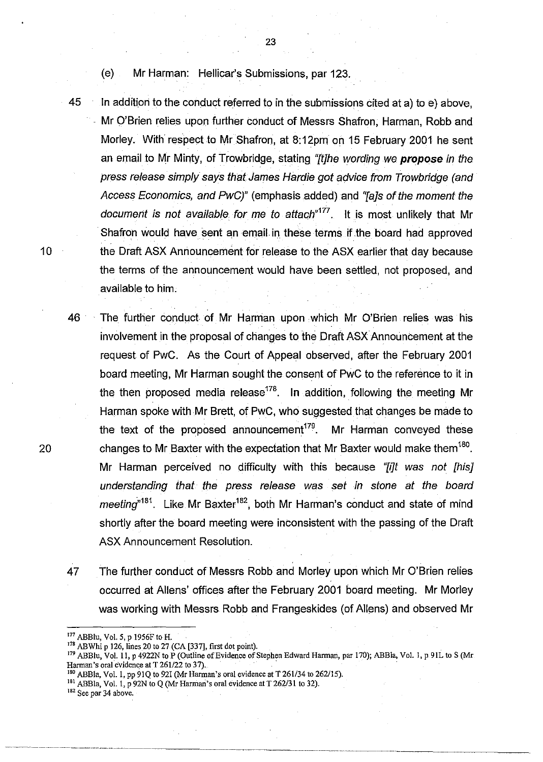(e) Mr Harman: Hellicar's Submissions, par 123.

45 In addition to the conduct referred to in the submissions cited at a) to e) above, Mr O'Brien relies upon further conduct of Messrs Shafron, Harman, Robb and Morley. With respect to Mr Shafron, at 8:12pm on 15 February 2001 he sent an email to Mr Minty, of Trowbridge, stating "*itlhe wording we propose in the* press release simply says that James Hardie got advice from Trowbridge (and Access Economics, and PwC)" (emphasis added) and 'Ta]s of the moment the document is not available for me to attach<sup> $177$ </sup>. It is most unlikely that Mr Shafron would have sent an email. in these terms if the board had approved 10 the Draft ASX Announcement for release to the ASX earlier that day because the terms of the announcement would have been settled, not proposed, and available to him.

23

46 The further conduct of Mr Harman upon which Mr O'Brien relies was his involvement in the proposal of changes to the Draft ASX Announcement at the request of PwC. As the Court of Appeal observed, after the February 2001 board meeting, Mr Harman sought the. consent of PwC to the reference to it in the then proposed media release<sup>178</sup>. In addition, following the meeting Mr Harman spoke with Mr Brett, of PwC, who suggested that changes be made to the text of the proposed announcement<sup>179</sup>. Mr Harman conveyed these 20 changes to Mr Baxter with the expectation that Mr Baxter would make them  $180$ . Mr Harman perceived no difficulty with this because "*filt was not [his]* understanding that the press release was set in stone at the board meeting<sup> $n181$ </sup>. Like Mr Baxter<sup>182</sup>, both Mr Harman's conduct and state of mind shortly after the board meeting were inconsistent with the passing of the Draft ASX Announcement Resolution.

47 The further conduct of Messrs Robb and Morley upon which Mr O'Brien relies occurred at Aliens' offices after the February 2001 board meeting. Mr Morley was working with Messrs Robb and Frangeskides (of Aliens) and observed Mr

<sup>180</sup> ABBla, Vol. 1, pp 91Q to 92I (Mr Harman's oral evidence at T 261/34 to 262/15).

<sup>182</sup> See par 34 above.

<sup>177</sup> ABBlu, Vol. 5, p 1956F to H.

<sup>178</sup> ABWhi p 126, lines 20 to 27 (CA [337], first dot point).

<sup>&</sup>lt;sup>179</sup> ABBlu, Vol. 11, p 4922N to P (Outline of Evidence of Stephen Edward Harman, par 170); ABBla, Vol. 1, p 91L to S (Mr Harman's oral evidence at T 261/22 to 37).

<sup>&</sup>lt;sup>181</sup> ABBla, Vol. 1, p 92N to Q (Mr Harman's oral evidence at T 262/31 to 32).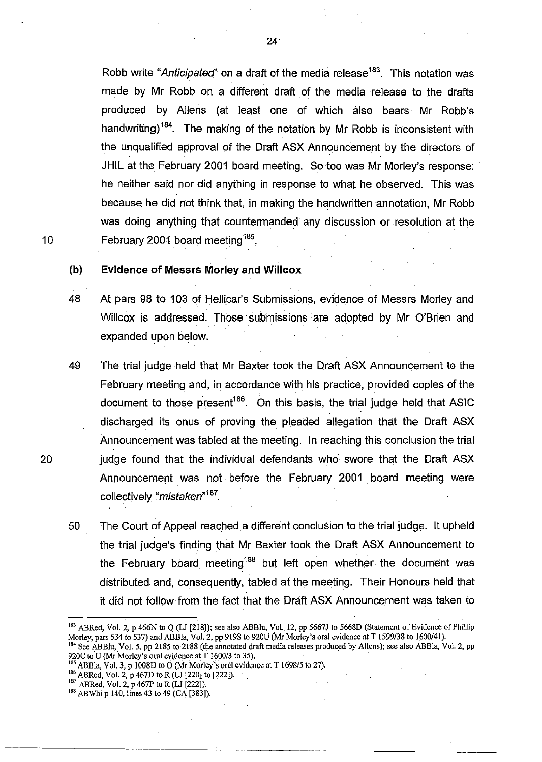Robb write "Anticipated" on a draft of the media release<sup>183</sup>. This notation was made by Mr Robb on a different draft of the media release to the drafts produced by Aliens (at least one of which also bears Mr Robb's handwriting)<sup>184</sup>. The making of the notation by Mr Robb is inconsistent with the unqualified approval of the Draft ASX Announcement by the directors of JHIL at the February 2001 board meeting. So too was Mr Morley's response: he neither said nor did anything in response to what he observed. This was because he did not think that, in making the handwritten annotation, Mr Robb was doing anything that countermanded any discussion or resolution at the 10 February 2001 board meeting<sup>185</sup>.

# (b) Evidence of Messrs Morley and Willcox

- 48 At pars 98 to 103 of Hellicar's Submissions, evidence of Messrs Morley and Willcox is addressed. Those submissions are adopted by Mr O'Brien and expanded upon below.
- 49 The trial judge held that Mr Baxter took the Draft ASX Announcement to the February meeting and, in accordance with his practice, provided copies of the document to those present<sup>186</sup>. On this basis, the trial judge held that ASIC discharged its onus of proving the pleaded allegation that the Draft ASX Announcement was tabled at the meeting. In reaching this conclusion the trial 20 judge found that the individual defendants who swore that the Draft ASX Announcement was not before the February 2001 board meeting were collectively "mistaken"<sup>187</sup>.
	- 50 The Court of Appeal reached a different conclusion to the trial judge. It upheld the trial judge's finding that Mr Baxter took the Draft ASX Announcement to the February board meeting<sup>188</sup> but left open whether the document was distributed and, consequently, tabled at the meeting. Their Honours held that it did not follow from the fact that the Draft ASX Announcement was taken to

- $^{186}$  ABRed, Vol. 2, p 467D to R (LJ [220] to [222]).
- 187 ABRed, Vol. 2, p 467P to R (LJ [222]).

<sup>183</sup> ABRed, Vol. 2, p 466N to Q (LJ [218]); see also ABBlu, Vol. 12, pp 5667J to 5668D (Statement of Evidence of Phillip Morley, pars 534 to 537) and ABBla, Vol. 2, pp 919S to 920U (Mr Morley's oral evidence at T *1599138* to *1600/41).*  184 See ABBlu, Vol. 5, pp 2185 to 2188 (the annotated draft media releases produced by Allens); see also ABBla, Vol. 2, pp 920C to U (Mr Morley's oral evidence at T *1600/3* to 35).

<sup>&</sup>lt;sup>185</sup> ABBla, Vol. 3, p 1008D to O (Mr Morley's oral evidence at T 1698/5 to 27).

<sup>&</sup>lt;sup>188</sup> ABWhi p 140, lines 43 to 49 (CA [383]).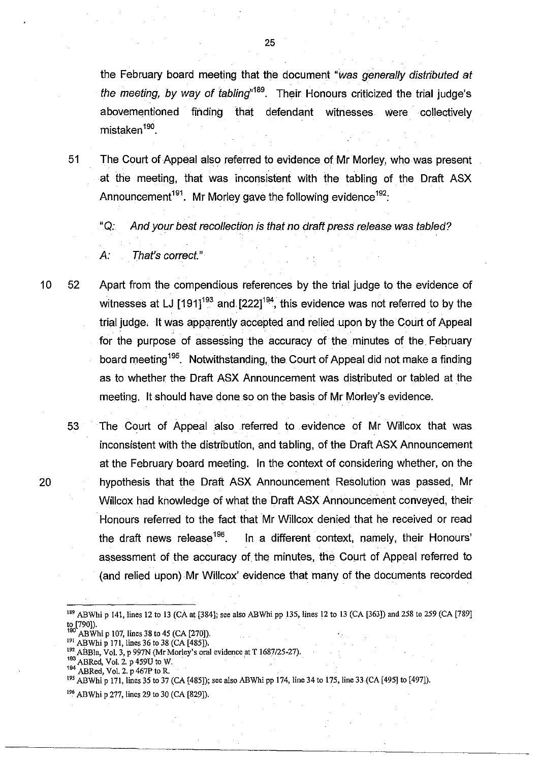the February board meeting that the document "was generally distributed at the meeting, by way of tabling<sup> $n$ 189</sup>. Their Honours criticized the trial judge's abovementioned finding that defendant witnesses Were collectively mistaken<sup>190</sup>.

51 The Court of Appeal also referred to evidence of Mr Morley, who was present at the meeting, that was inconsistent with the tabling of the Draft ASX Announcement<sup>191</sup>. Mr Morley gave the following evidence<sup>192</sup>:

"Q: And your best recollection is that no draft press release was tabled?

10 52 Apart from the compendious references by the trial judge to the evidence of witnesses at LJ  $[191]^{193}$  and  $[222]^{194}$ , this evidence was not referred to by the trial judge. It was apparently accepted and relied upon by the Court of Appeal for the purpose of assessing the accuracy of the minutes of the. February board meeting 195. Notwithstanding, the Court of Appeal did not make a finding as to whether the Draft ASX Announcement was distributed or tabled at the meeting. **It** should have done so on the basis of Mr Morley's evidence.

53 The Court of Appeal also referred to evidence of Mr Willcox that was inconsistent with the distribution, and tabling, of the Draft ASX Announcement at the February board meeting. In the context of considering whether, on the 20 hypothesis that the Draft ASX Announcement Resolution was passed, Mr Willcox had knowledge of what the Draft ASX Announcement conveyed, their Honours referred to the fact that Mr Willcox denied that he received or read the draft news release<sup>196</sup>. In a different context, namely, their Honours' assessment of the accuracy of the minutes, the Court of Appeal referred to (and relied upon) Mr Willcox' evidence that many of the documents recorded

ABRed, Vol. 2.  $p$  467P to R.

A: That's correct."

<sup>189</sup> ABWhi P 141, lines 12 to 13 (CA at [384]; see also ABWhi pp 135, lines 12 to 13 (CA [363]) and 258 to 259 (CA [789] to [790]).

 $AB\ddot{W}$ hi p 107, lines 38 to 45 (CA [270]). <sup>191</sup> ABWhi p 171, lines 36 to 38 (CA [485]).

<sup>&</sup>lt;sup>192</sup> ABBla, Vol. 3, p 997N (Mr Morley's oral evidence at T 1687/25-27).

 $^{193}$  ABRed, Vol. 2. p 459U to W.<br> $^{194}$  ABRed, Vol. 2, p 467P to B.

<sup>195</sup> ABWhi P 171, lines 35 to 37 (CA [485]); see also ABWhi pp 174, line 34 to 175, line 33(CA [495] to [497]).

<sup>&</sup>lt;sup>196</sup> ABWhi p 277, lines 29 to 30 (CA [829]).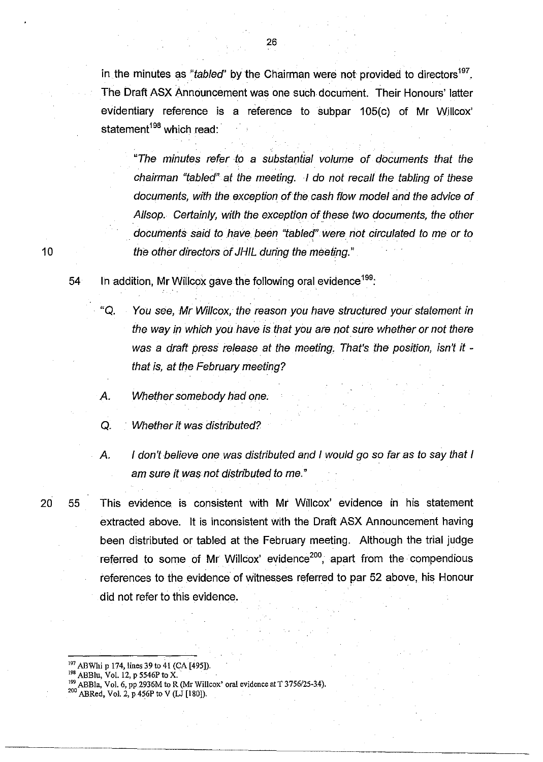in the minutes as "tabled" by the Chairman were not provided to directors<sup>197</sup>. The Draft ASX Announcement was one such document. Their Honours' latter evidentiary reference is a reference to subpar 105(c) of Mr Willcox' statement<sup>198</sup> which read:

"The minutes refer to a substantial volume of documents that the chairman "tabled" at the meeting. I do not recall the tabling of these documents, with the exception of the cash flow model and the advice of Allsop. Certainly, with the exception of these two documents, the other documents said to have been "tabled" were not circulated to me or to the other directors of JHIL during the meeting."

54 In addition, Mr Willcox gave the following oral evidence  $199$ .

- "Q. You see, Mr Willcox, the reason you have structured your statement in the way in which you have is that you are not sure whether or not there was a draft press release at the meeting. That's the position, isn't it that is, at the February meeting?
- *A.* Whether somebody had one.
- Q. Whether it was distributed?
- *A.* I don't believe one was distributed and I would go so far as to say that I am sure it was not distributed to me."

20 55 This evidence is consistent with Mr Willcox' evidence in his statement extracted above. It is inconsistent with the Draft ASX Announcement having been distributed or tabled at the February meeting. Although the trial judge referred to some of Mr Willcox' evidence<sup>200</sup>, apart from the compendious references to the evidence of witnesses referred to par 52 above, his Honour did not refer to this evidence.

- $198$  ABBlu, Vol. 12, p 5546P to X.
- 199 ABBla, Vol. 6, pp2936M to R (Mr Willcox' oral evidence at T *3756/25-34).*
- $^{200}$  ABRed, Vol. 2, p.456P to V (LJ [180]).

<sup>&</sup>lt;sup>197</sup> ABWhi p 174, lines 39 to 41 (CA [495]).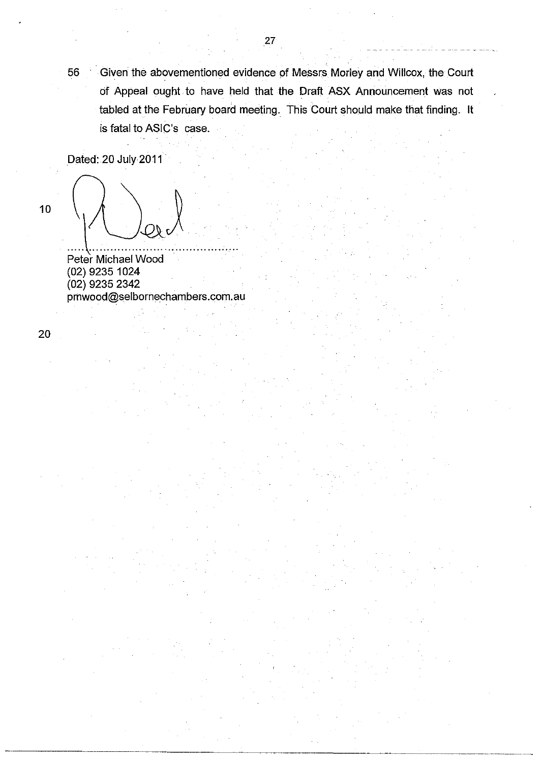56 Given the abovementioned evidence of Messrs Morley and Willcox, the Court of Appeal ought to have held that the Draft ASX Announcement was not tabled at the February board meeting. This Court should make that finding. It is fatal to ASIC's case.

Dated: 20 July 2011

10  $\bigvee_{\mathcal{O}_k}\bigvee_{\mathcal{O}_k}$ 

(02) 9235 1024 (02) 9235 2342 prnwood@selbornechambers.com.au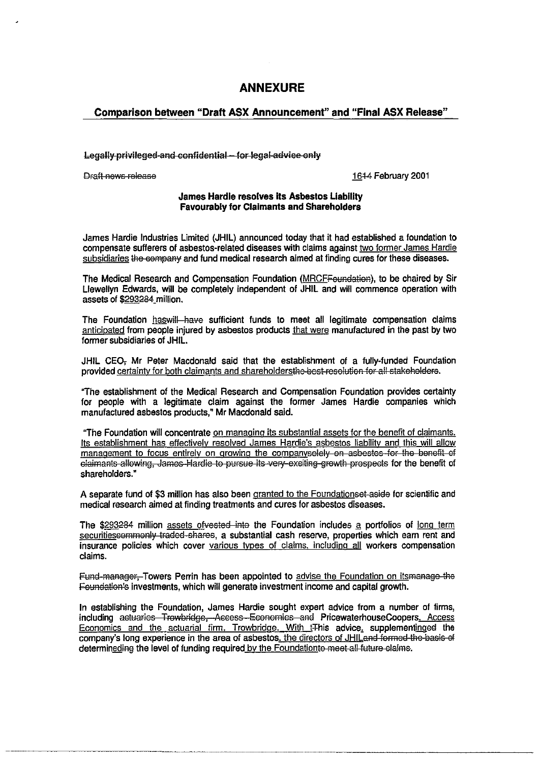# **ANNEXURE**

### Comparison between "Draft ASX Announcement" and "Final ASX Release"

#### Legally privileged and confidential for legal advice only

**Draft news release 16-1-4 February 2001** 

#### James Hardie resolves its Asbestos Liability Favourably for Claimants and Shareholders

James Hardie Industries Limited (JHIL) announced today that it had established a foundation to compensate sufferers of asbestos-related diseases with claims against two former James Hardie subsidiaries the company and fund medical research aimed at finding cures for these diseases.

The Medical Research and Compensation Foundation (MRCFFoundation), to be chaired by Sir Llewellyn Edwards, will be completely independent of JHIL and will commence operation with assets of \$293284 million.

The Foundation haswill-have sufficient funds to meet all legitimate compensation claims anticipated from people injured by asbestos products that were manufactured in the past by two former subsidiaries of JHIL.

JHIL CEO, Mr Peter Macdonald said that the establishment of a fully-funded Foundation provided certainty for both claimants and shareholdersthe-best-resolution for all stakeholders.

"The establishment of the Medical Research and Compensation Foundation provides certainty for people with a legitimate claim against the former James Hardie companies which manufactured asbestos products," Mr Macdonald said.

"The Foundation will concentrate on managing its substantial assets for the benefit of claimants. Its establishment has effectively resolved James Hardie's asbestos liability and this will allow management to focus entirely on growing the companysolely on asbestos for the benefit of elaimants allowing, James Hardie to pursue its very exciting growth prospects for the benefit of shareholders."

A separate fund of \$3 million has also been granted to the Foundationset aside for scientific and medical research aimed at finding treatments and cures for asbestos diseases.

The \$293284 million assets ofvested into the Foundation includes a portfolios of long term securitiescommonly traded shares, a substantial cash reserve, properties which earn rent and insurance policies which cover various IYoes of claims, including all workers compensation claims.

Fund manager, Towers Perrin has been appointed to advise the Foundation on itsmanage the Foundation's investments, which will generate investment income and capital growth.

In establishing the Foundation, James Hardie sought expert advice from a number of firms, including actuaries Trowbridge, Access Economics and PricewaterhouseCoopers, Access Economics and the actuarial firm, Trowbridge. With  $t$ This advice, supplementinged the company's long experience in the area of asbestos, the directors of JHILand formed the basis of determineding the level of funding required by the Foundationto meet all future claims.